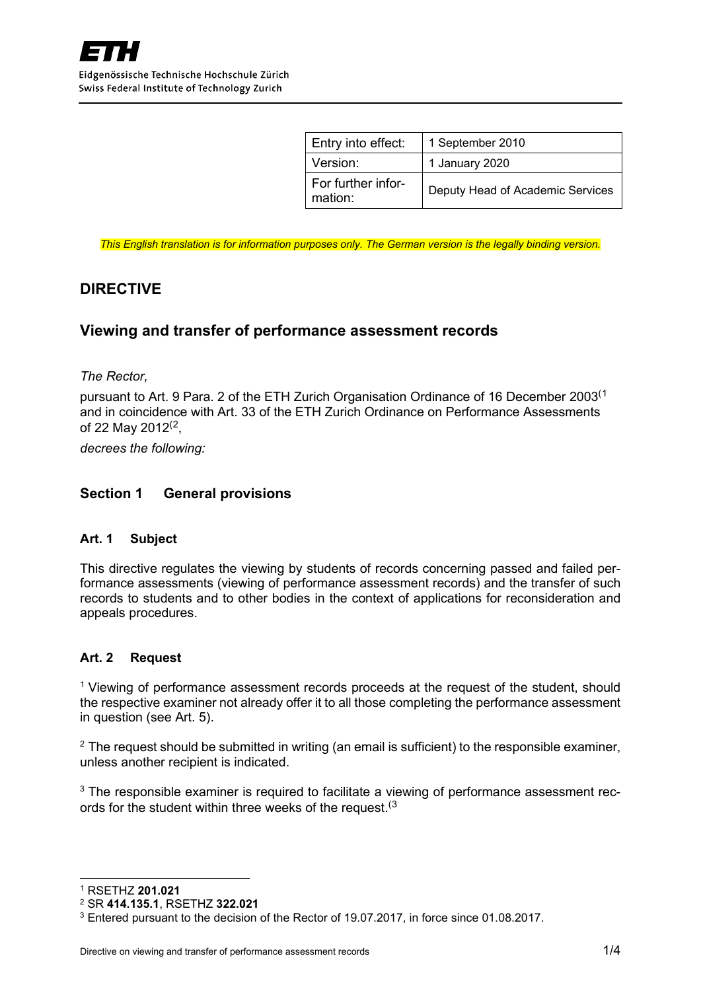| Entry into effect:            | 1 September 2010                 |
|-------------------------------|----------------------------------|
| Version:                      | 1 January 2020                   |
| For further infor-<br>mation: | Deputy Head of Academic Services |

*This English translation is for information purposes only. The German version is the legally binding version.*

# **DIRECTIVE**

## **Viewing and transfer of performance assessment records**

*The Rector,*

pursuant to Art. 9 Para. 2 of the ETH Zurich Organisation Ordinance of 16 December 2003[\(1](#page-0-0) and in coincidence with Art. 33 of the ETH Zurich Ordinance on Performance Assessments of [2](#page-0-1)2 May 2012 $(2, 1)$ 

*decrees the following:*

### **Section 1 General provisions**

#### **Art. 1 Subject**

This directive regulates the viewing by students of records concerning passed and failed performance assessments (viewing of performance assessment records) and the transfer of such records to students and to other bodies in the context of applications for reconsideration and appeals procedures.

#### **Art. 2 Request**

<sup>1</sup> Viewing of performance assessment records proceeds at the request of the student, should the respective examiner not already offer it to all those completing the performance assessment in question (see Art. 5).

 $2$  The request should be submitted in writing (an email is sufficient) to the responsible examiner, unless another recipient is indicated.

 $3$  The responsible examiner is required to facilitate a viewing of performance assessment rec-ords for the student within three weeks of the request.<sup>([3](#page-0-2)</sup>

<span id="page-0-0"></span><sup>1</sup> RSETHZ **201.021**

<span id="page-0-1"></span><sup>2</sup> SR **414.135.1**, RSETHZ **322.021**

<span id="page-0-2"></span><sup>3</sup> Entered pursuant to the decision of the Rector of 19.07.2017, in force since 01.08.2017.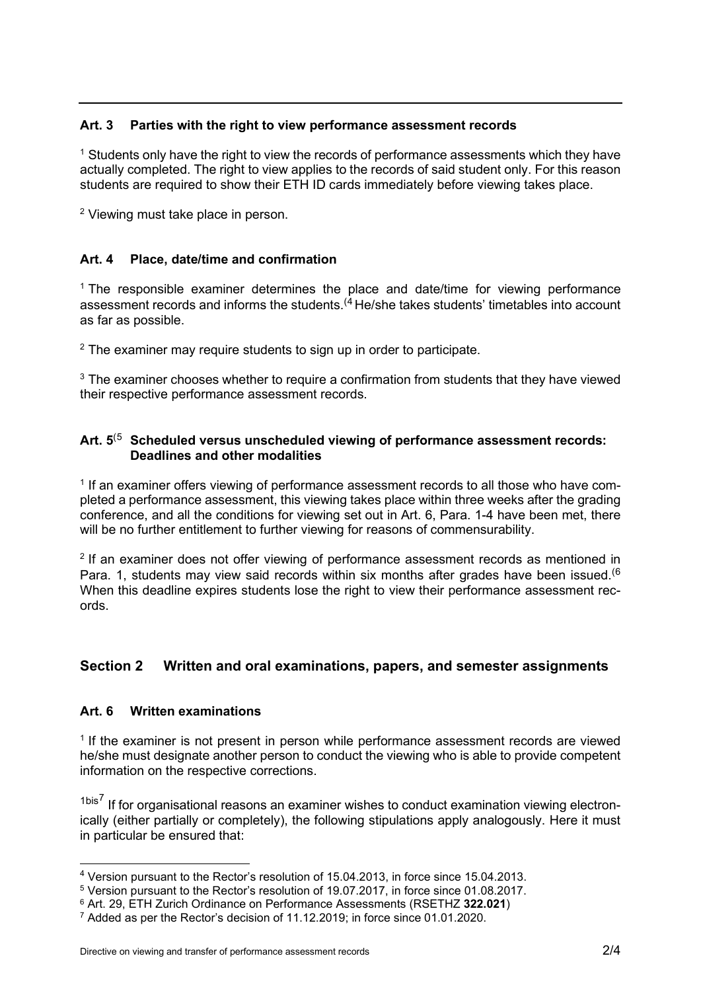### **Art. 3 Parties with the right to view performance assessment records**

 $<sup>1</sup>$  Students only have the right to view the records of performance assessments which they have</sup> actually completed. The right to view applies to the records of said student only. For this reason students are required to show their ETH ID cards immediately before viewing takes place.

<sup>2</sup> Viewing must take place in person.

## **Art. 4 Place, date/time and confirmation**

<sup>1</sup> The responsible examiner determines the place and date/time for viewing performance assessment records and informs the students.<sup>([4](#page-1-0)</sup> He/she takes students' timetables into account as far as possible.

 $2$  The examiner may require students to sign up in order to participate.

 $3$  The examiner chooses whether to require a confirmation from students that they have viewed their respective performance assessment records.

### **Art. 5**([5](#page-1-1) **Scheduled versus unscheduled viewing of performance assessment records: Deadlines and other modalities**

<sup>1</sup> If an examiner offers viewing of performance assessment records to all those who have completed a performance assessment, this viewing takes place within three weeks after the grading conference, and all the conditions for viewing set out in Art. 6, Para. 1-4 have been met, there will be no further entitlement to further viewing for reasons of commensurability.

<sup>2</sup> If an examiner does not offer viewing of performance assessment records as mentioned in Para. 1, students may view said records within six months after grades have been issued.<sup>([6](#page-1-2)</sup> When this deadline expires students lose the right to view their performance assessment records.

# **Section 2 Written and oral examinations, papers, and semester assignments**

## **Art. 6 Written examinations**

<sup>1</sup> If the examiner is not present in person while performance assessment records are viewed he/she must designate another person to conduct the viewing who is able to provide competent information on the respective corrections.

 $1<sup>bis7</sup>$  $1<sup>bis7</sup>$  $1<sup>bis7</sup>$  If for organisational reasons an examiner wishes to conduct examination viewing electronically (either partially or completely), the following stipulations apply analogously. Here it must in particular be ensured that:

<span id="page-1-0"></span><sup>4</sup> Version pursuant to the Rector's resolution of 15.04.2013, in force since 15.04.2013.

<span id="page-1-1"></span><sup>5</sup> Version pursuant to the Rector's resolution of 19.07.2017, in force since 01.08.2017.

<span id="page-1-2"></span><sup>6</sup> Art. 29, ETH Zurich Ordinance on Performance Assessments (RSETHZ **322.021**)

<span id="page-1-3"></span><sup>7</sup> Added as per the Rector's decision of 11.12.2019; in force since 01.01.2020.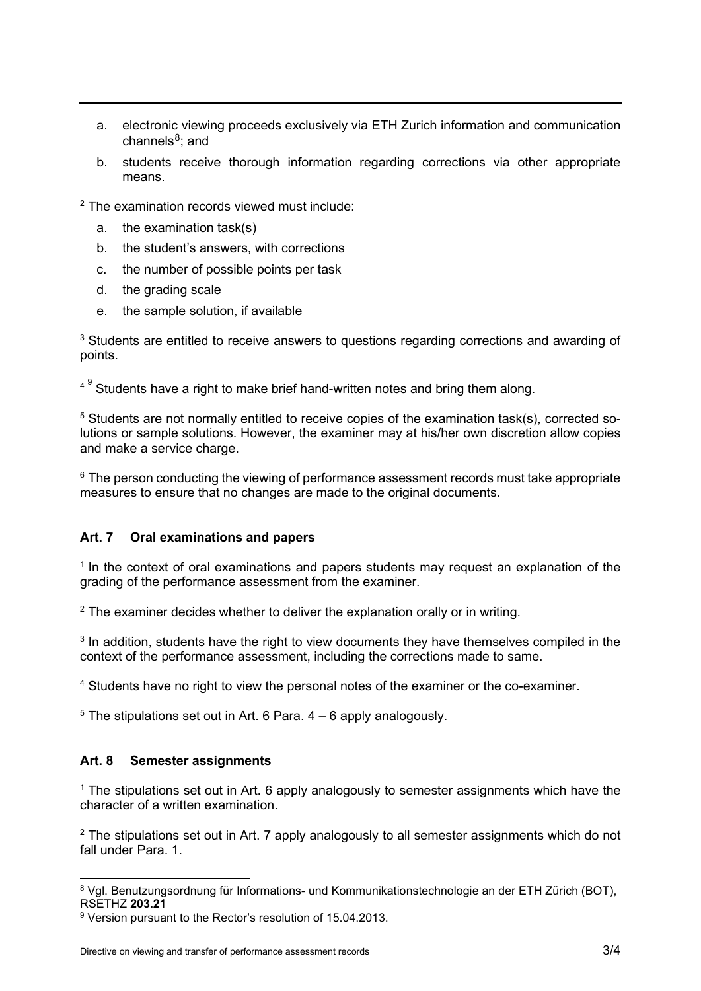- a. electronic viewing proceeds exclusively via ETH Zurich information and communication channels $8$ ; and
- b. students receive thorough information regarding corrections via other appropriate means.

<sup>2</sup> The examination records viewed must include:

- a. the examination task(s)
- b. the student's answers, with corrections
- c. the number of possible points per task
- d. the grading scale
- e. the sample solution, if available

 $3$  Students are entitled to receive answers to questions regarding corrections and awarding of points.

 $4<sup>9</sup>$  $4<sup>9</sup>$  $4<sup>9</sup>$  Students have a right to make brief hand-written notes and bring them along.

<sup>5</sup> Students are not normally entitled to receive copies of the examination task(s), corrected solutions or sample solutions. However, the examiner may at his/her own discretion allow copies and make a service charge.

 $6$  The person conducting the viewing of performance assessment records must take appropriate measures to ensure that no changes are made to the original documents.

## **Art. 7 Oral examinations and papers**

 $1$  In the context of oral examinations and papers students may request an explanation of the grading of the performance assessment from the examiner.

 $2$  The examiner decides whether to deliver the explanation orally or in writing.

 $3$  In addition, students have the right to view documents they have themselves compiled in the context of the performance assessment, including the corrections made to same.

<sup>4</sup> Students have no right to view the personal notes of the examiner or the co-examiner.

 $5$  The stipulations set out in Art. 6 Para.  $4 - 6$  apply analogously.

## **Art. 8 Semester assignments**

 $1$  The stipulations set out in Art. 6 apply analogously to semester assignments which have the character of a written examination.

 $2$  The stipulations set out in Art. 7 apply analogously to all semester assignments which do not fall under Para. 1.

<span id="page-2-0"></span><sup>8</sup> Vgl. Benutzungsordnung für Informations- und Kommunikationstechnologie an der ETH Zürich (BOT), RSETHZ **203.21**

<span id="page-2-1"></span><sup>9</sup> Version pursuant to the Rector's resolution of 15.04.2013.